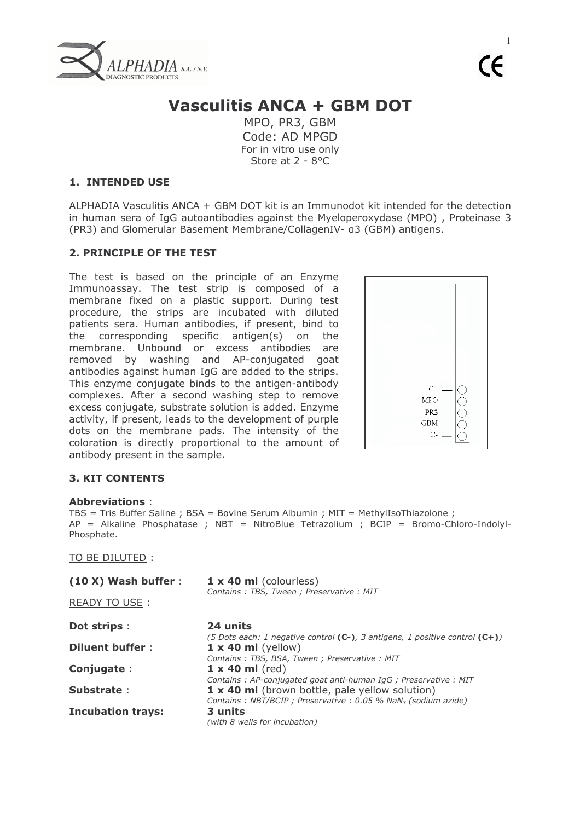

 $\mathbf{1}$  $\mathcal{C}\mathcal{C}$ 

# **Vasculitis ANCA + GBM DOT**

MPO, PR3, GBM Code: AD MPGD For in vitro use only Store at 2 - 8°C

## **1. INTENDED USE**

ALPHADIA Vasculitis ANCA + GBM DOT kit is an Immunodot kit intended for the detection in human sera of IqG autoantibodies against the Myeloperoxydase (MPO), Proteinase 3 (PR3) and Glomerular Basement Membrane/CollagenIV- a3 (GBM) antigens.

## 2. PRINCIPLE OF THE TEST

The test is based on the principle of an Enzyme Immunoassay. The test strip is composed of a membrane fixed on a plastic support. During test procedure, the strips are incubated with diluted patients sera. Human antibodies, if present, bind to the corresponding specific antigen(s) on the membrane. Unbound or excess antibodies are removed by washing and AP-conjugated goat antibodies against human IgG are added to the strips. This enzyme conjugate binds to the antigen-antibody complexes. After a second washing step to remove excess conjugate, substrate solution is added. Enzyme activity, if present, leads to the development of purple dots on the membrane pads. The intensity of the coloration is directly proportional to the amount of antibody present in the sample.



# **3. KIT CONTENTS**

#### **Abbreviations**

TBS = Tris Buffer Saline ; BSA = Bovine Serum Albumin ; MIT = MethylIsoThiazolone ;  $AP = Alkaline Phosphatase$ ; NBT = NitroBlue Tetrazolium ; BCIP = Bromo-Chloro-Indolyl-Phosphate.

#### TO BE DILUTED:

| $(10 X)$ Wash buffer :   | $1 \times 40$ ml (colourless)<br>Contains: TBS, Tween; Preservative: MIT                                                     |
|--------------------------|------------------------------------------------------------------------------------------------------------------------------|
| READY TO USE:            |                                                                                                                              |
| <b>Dot strips:</b>       | 24 units<br>(5 Dots each: 1 negative control (C-), 3 antigens, 1 positive control (C+))                                      |
| Diluent buffer:          | $1 \times 40$ ml (yellow)<br>Contains: TBS, BSA, Tween; Preservative: MIT                                                    |
| Conjugate:               | $1 \times 40$ ml (red)<br>Contains: AP-conjugated goat anti-human IgG; Preservative: MIT                                     |
| Substrate:               | 1 x 40 ml (brown bottle, pale yellow solution)<br>Contains: NBT/BCIP ; Preservative : 0.05 % NaN <sub>3</sub> (sodium azide) |
| <b>Incubation trays:</b> | 3 units<br>(with 8 wells for incubation)                                                                                     |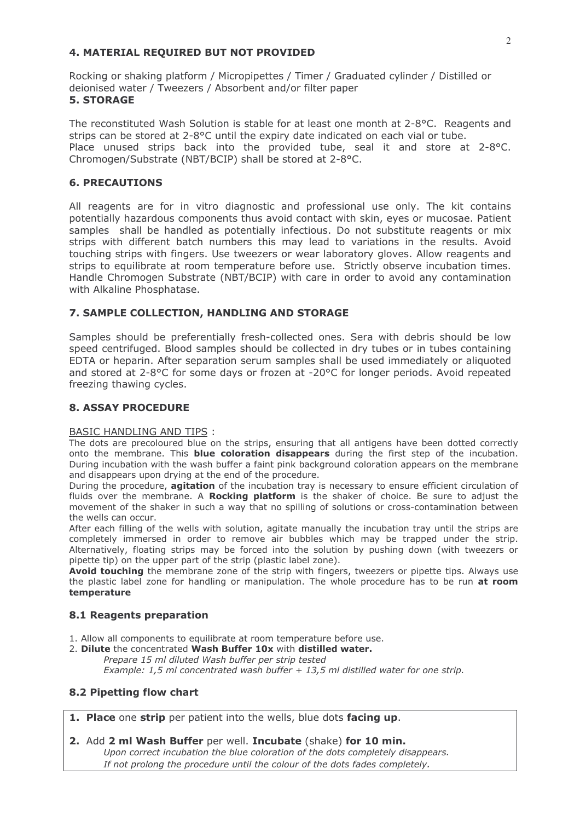## 4. MATERIAL REQUIRED BUT NOT PROVIDED

Rocking or shaking platform / Micropipettes / Timer / Graduated cylinder / Distilled or deionised water / Tweezers / Absorbent and/or filter paper **5. STORAGE** 

The reconstituted Wash Solution is stable for at least one month at 2-8°C. Reagents and strips can be stored at 2-8°C until the expiry date indicated on each vial or tube. Place unused strips back into the provided tube, seal it and store at 2-8°C. Chromogen/Substrate (NBT/BCIP) shall be stored at 2-8°C.

## **6. PRECAUTIONS**

All reagents are for in vitro diagnostic and professional use only. The kit contains potentially hazardous components thus avoid contact with skin, eyes or mucosae. Patient samples shall be handled as potentially infectious. Do not substitute reagents or mix strips with different batch numbers this may lead to variations in the results. Avoid touching strips with fingers. Use tweezers or wear laboratory gloves. Allow reagents and strips to equilibrate at room temperature before use. Strictly observe incubation times. Handle Chromogen Substrate (NBT/BCIP) with care in order to avoid any contamination with Alkaline Phosphatase.

# 7. SAMPLE COLLECTION, HANDLING AND STORAGE

Samples should be preferentially fresh-collected ones. Sera with debris should be low speed centrifuged. Blood samples should be collected in dry tubes or in tubes containing EDTA or heparin. After separation serum samples shall be used immediately or aliquoted and stored at 2-8°C for some days or frozen at -20°C for longer periods. Avoid repeated freezing thawing cycles.

# **8. ASSAY PROCEDURE**

## **BASIC HANDLING AND TIPS:**

The dots are precoloured blue on the strips, ensuring that all antigens have been dotted correctly onto the membrane. This blue coloration disappears during the first step of the incubation. During incubation with the wash buffer a faint pink background coloration appears on the membrane and disappears upon drying at the end of the procedure.

During the procedure, agitation of the incubation tray is necessary to ensure efficient circulation of fluids over the membrane. A Rocking platform is the shaker of choice. Be sure to adjust the movement of the shaker in such a way that no spilling of solutions or cross-contamination between the wells can occur.

After each filling of the wells with solution, agitate manually the incubation tray until the strips are completely immersed in order to remove air bubbles which may be trapped under the strip. Alternatively, floating strips may be forced into the solution by pushing down (with tweezers or pipette tip) on the upper part of the strip (plastic label zone).

Avoid touching the membrane zone of the strip with fingers, tweezers or pipette tips. Always use the plastic label zone for handling or manipulation. The whole procedure has to be run at room temperature

## 8.1 Reagents preparation

- 1. Allow all components to equilibrate at room temperature before use.
- 2. Dilute the concentrated Wash Buffer 10x with distilled water. Prepare 15 ml diluted Wash buffer per strip tested Example: 1,5 ml concentrated wash buffer  $+$  13,5 ml distilled water for one strip.

## 8.2 Pipetting flow chart

1. Place one strip per patient into the wells, blue dots facing up.

2. Add 2 ml Wash Buffer per well. Incubate (shake) for 10 min.

Upon correct incubation the blue coloration of the dots completely disappears. If not prolong the procedure until the colour of the dots fades completely.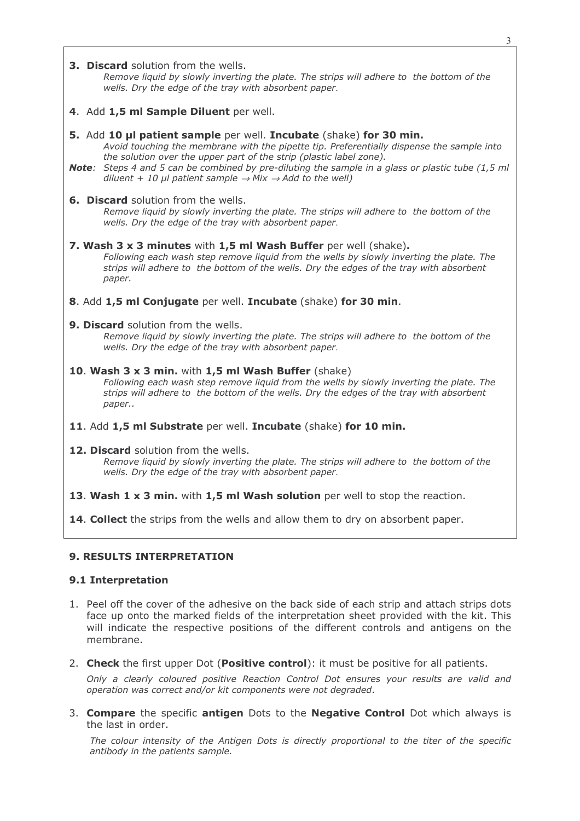3

#### **3. Discard** solution from the wells.

Remove liquid by slowly inverting the plate. The strips will adhere to the bottom of the wells. Dry the edge of the tray with absorbent paper.

4. Add 1,5 ml Sample Diluent per well.

#### 5. Add 10 µl patient sample per well. Incubate (shake) for 30 min.

Avoid touching the membrane with the pipette tip. Preferentially dispense the sample into the solution over the upper part of the strip (plastic label zone).

- **Note:** Steps 4 and 5 can be combined by pre-diluting the sample in a glass or plastic tube (1,5 ml) diluent + 10 ul patient sample  $\rightarrow$  Mix  $\rightarrow$  Add to the well)
- 6. Discard solution from the wells.

Remove liquid by slowly inverting the plate. The strips will adhere to the bottom of the wells. Dry the edge of the tray with absorbent paper.

- 7. Wash 3 x 3 minutes with 1,5 ml Wash Buffer per well (shake). Following each wash step remove liquid from the wells by slowly inverting the plate. The strips will adhere to the bottom of the wells. Dry the edges of the tray with absorbent paper.
- 8. Add 1.5 ml Conjugate per well. Incubate (shake) for 30 min.

#### 9. Discard solution from the wells.

Remove liquid by slowly inverting the plate. The strips will adhere to the bottom of the wells. Dry the edge of the tray with absorbent paper.

- 10. Wash 3 x 3 min. with 1,5 ml Wash Buffer (shake) Following each wash step remove liquid from the wells by slowly inverting the plate. The strips will adhere to the bottom of the wells. Dry the edges of the tray with absorbent paper..
- 11. Add 1.5 ml Substrate per well. Incubate (shake) for 10 min.
- 12. Discard solution from the wells.

Remove liquid by slowly inverting the plate. The strips will adhere to the bottom of the wells. Dry the edge of the tray with absorbent paper.

13. Wash 1 x 3 min. with 1,5 ml Wash solution per well to stop the reaction.

14. Collect the strips from the wells and allow them to dry on absorbent paper.

#### **9. RESULTS INTERPRETATION**

#### 9.1 Interpretation

- 1. Peel off the cover of the adhesive on the back side of each strip and attach strips dots face up onto the marked fields of the interpretation sheet provided with the kit. This will indicate the respective positions of the different controls and antigens on the membrane.
- 2. Check the first upper Dot (Positive control): it must be positive for all patients.

Only a clearly coloured positive Reaction Control Dot ensures your results are valid and operation was correct and/or kit components were not degraded.

3. Compare the specific antigen Dots to the Negative Control Dot which always is the last in order.

The colour intensity of the Antigen Dots is directly proportional to the titer of the specific antibody in the patients sample.